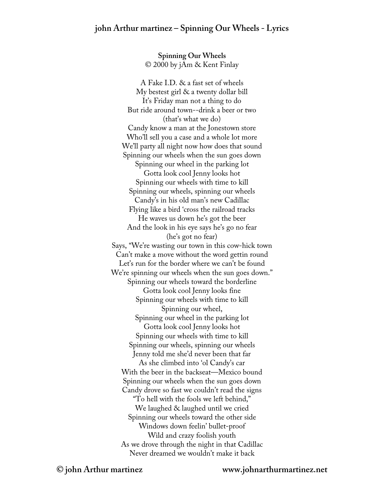**Spinning Our Wheels** © 2000 by jAm & Kent Finlay

A Fake I.D. & a fast set of wheels My bestest girl & a twenty dollar bill It's Friday man not a thing to do But ride around town--drink a beer or two (that's what we do) Candy know a man at the Jonestown store Who'll sell you a case and a whole lot more We'll party all night now how does that sound Spinning our wheels when the sun goes down Spinning our wheel in the parking lot Gotta look cool Jenny looks hot Spinning our wheels with time to kill Spinning our wheels, spinning our wheels Candy's in his old man's new Cadillac Flying like a bird 'cross the railroad tracks He waves us down he's got the beer And the look in his eye says he's go no fear (he's got no fear) Says, "We're wasting our town in this cow-hick town Can't make a move without the word gettin round Let's run for the border where we can't be found We're spinning our wheels when the sun goes down." Spinning our wheels toward the borderline Gotta look cool Jenny looks fine Spinning our wheels with time to kill Spinning our wheel, Spinning our wheel in the parking lot Gotta look cool Jenny looks hot Spinning our wheels with time to kill Spinning our wheels, spinning our wheels Jenny told me she'd never been that far As she climbed into 'ol Candy's car With the beer in the backseat—Mexico bound Spinning our wheels when the sun goes down Candy drove so fast we couldn't read the signs "To hell with the fools we left behind," We laughed & laughed until we cried Spinning our wheels toward the other side Windows down feelin' bullet-proof Wild and crazy foolish youth As we drove through the night in that Cadillac Never dreamed we wouldn't make it back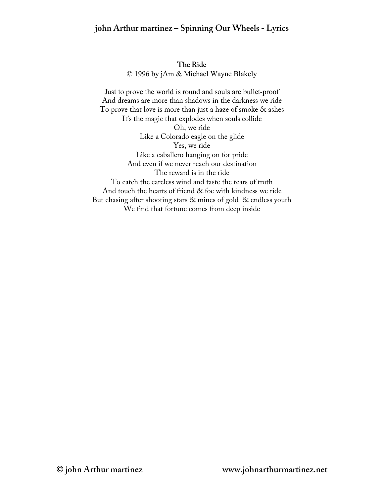## **john Arthur martinez – Spinning Our Wheels - Lyrics**

**The Ride** © 1996 by jAm & Michael Wayne Blakely

Just to prove the world is round and souls are bullet-proof And dreams are more than shadows in the darkness we ride To prove that love is more than just a haze of smoke & ashes It's the magic that explodes when souls collide Oh, we ride Like a Colorado eagle on the glide Yes, we ride Like a caballero hanging on for pride And even if we never reach our destination The reward is in the ride To catch the careless wind and taste the tears of truth And touch the hearts of friend & foe with kindness we ride But chasing after shooting stars & mines of gold & endless youth We find that fortune comes from deep inside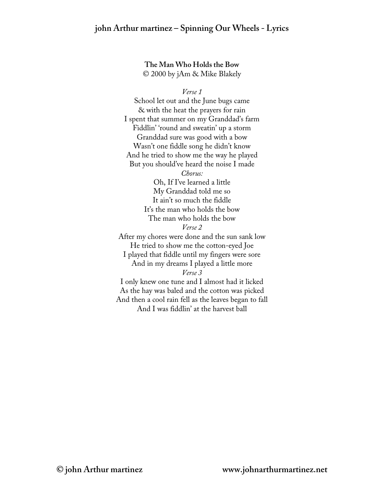**The Man Who Holds the Bow** © 2000 by jAm & Mike Blakely

## *Verse 1*

School let out and the June bugs came & with the heat the prayers for rain I spent that summer on my Granddad's farm Fiddlin' 'round and sweatin' up a storm Granddad sure was good with a bow Wasn't one fiddle song he didn't know And he tried to show me the way he played But you should've heard the noise I made *Chorus:* Oh, If I've learned a little My Granddad told me so It ain't so much the fiddle It's the man who holds the bow The man who holds the bow *Verse 2* After my chores were done and the sun sank low He tried to show me the cotton-eyed Joe I played that fiddle until my fingers were sore And in my dreams I played a little more *Verse 3* I only knew one tune and I almost had it licked As the hay was baled and the cotton was picked And then a cool rain fell as the leaves began to fall

And I was fiddlin' at the harvest ball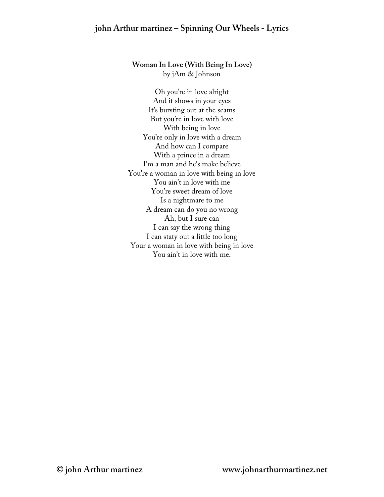## **Woman In Love (With Being In Love)** by jAm & Johnson

Oh you're in love alright And it shows in your eyes It's bursting out at the seams But you're in love with love With being in love You're only in love with a dream And how can I compare With a prince in a dream I'm a man and he's make believe You're a woman in love with being in love You ain't in love with me You're sweet dream of love Is a nightmare to me A dream can do you no wrong Ah, but I sure can I can say the wrong thing I can staty out a little too long Your a woman in love with being in love You ain't in love with me.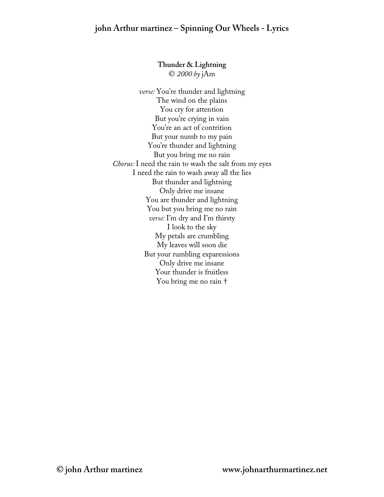**Thunder & Lightning** © *2000 by* jAm

*verse:* You're thunder and lightning The wind on the plains You cry for attention But you're crying in vain You're an act of contrition But your numb to my pain You're thunder and lightning But you bring me no rain *Chorus:* I need the rain to wash the salt from my eyes I need the rain to wash away all the lies But thunder and lightning Only drive me insane You are thunder and lightning You but you bring me no rain *verse:* I'm dry and I'm thirsty I look to the sky My petals are crumbling My leaves will soon die But your rumbling exparessions Only drive me insane Your thunder is fruitless You bring me no rain †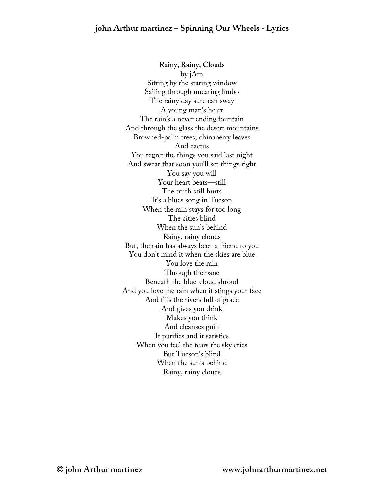**Rainy, Rainy, Clouds** by jAm Sitting by the staring window Sailing through uncaring limbo The rainy day sure can sway A young man's heart The rain's a never ending fountain And through the glass the desert mountains Browned-palm trees, chinaberry leaves And cactus You regret the things you said last night And swear that soon you'll set things right You say you will Your heart beats—still The truth still hurts It's a blues song in Tucson When the rain stays for too long The cities blind When the sun's behind Rainy, rainy clouds But, the rain has always been a friend to you You don't mind it when the skies are blue You love the rain Through the pane Beneath the blue-cloud shroud And you love the rain when it stings your face And fills the rivers full of grace And gives you drink Makes you think And cleanses guilt It purifies and it satisfies When you feel the tears the sky cries But Tucson's blind When the sun's behind Rainy, rainy clouds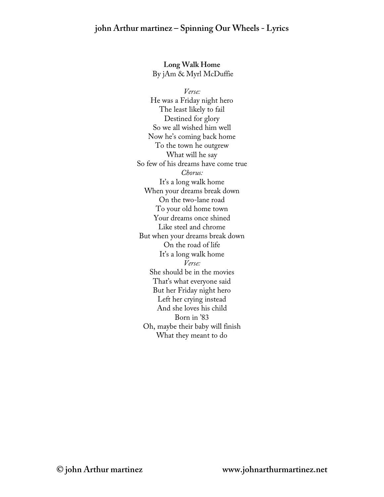**Long Walk Home** By jAm & Myrl McDuffie

*Verse:* He was a Friday night hero The least likely to fail Destined for glory So we all wished him well Now he's coming back home To the town he outgrew What will he say So few of his dreams have come true *Chorus:* It's a long walk home When your dreams break down On the two-lane road To your old home town Your dreams once shined Like steel and chrome But when your dreams break down On the road of life It's a long walk home *Verse:* She should be in the movies That's what everyone said But her Friday night hero Left her crying instead And she loves his child Born in '83 Oh, maybe their baby will finish What they meant to do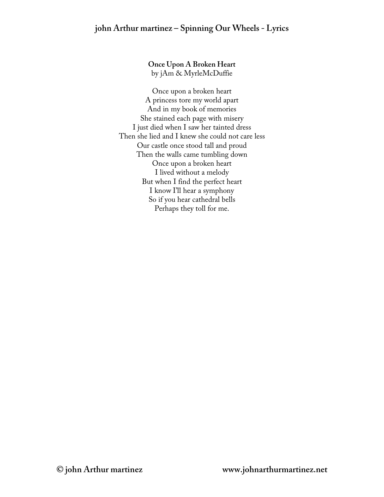## **Once Upon A Broken Heart** by jAm & MyrleMcDuffie

Once upon a broken heart A princess tore my world apart And in my book of memories She stained each page with misery I just died when I saw her tainted dress Then she lied and I knew she could not care less Our castle once stood tall and proud Then the walls came tumbling down Once upon a broken heart I lived without a melody But when I find the perfect heart I know I'll hear a symphony So if you hear cathedral bells Perhaps they toll for me.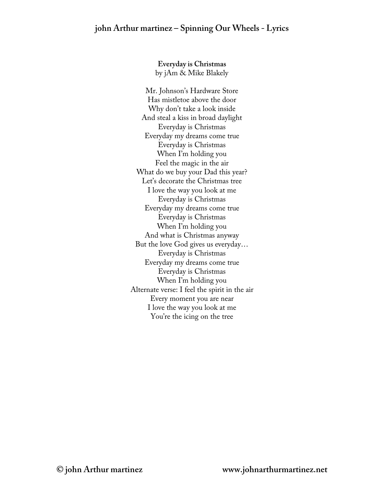**Everyday is Christmas** by jAm & Mike Blakely

Mr. Johnson's Hardware Store Has mistletoe above the door Why don't take a look inside And steal a kiss in broad daylight Everyday is Christmas Everyday my dreams come true Everyday is Christmas When I'm holding you Feel the magic in the air What do we buy your Dad this year? Let's decorate the Christmas tree I love the way you look at me Everyday is Christmas Everyday my dreams come true Everyday is Christmas When I'm holding you And what is Christmas anyway But the love God gives us everyday… Everyday is Christmas Everyday my dreams come true Everyday is Christmas When I'm holding you Alternate verse: I feel the spirit in the air Every moment you are near I love the way you look at me You're the icing on the tree